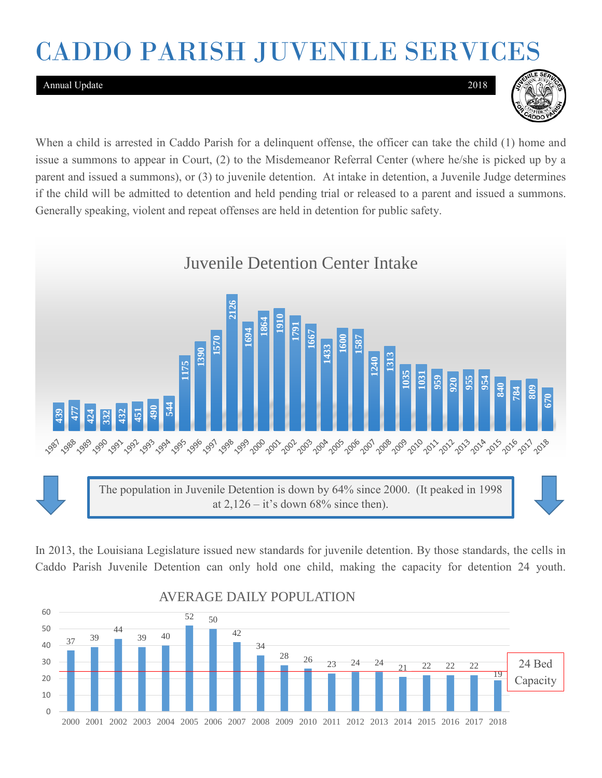# CADDO PARISH JUVENILE SERVICES

#### Annual Update 2018



When a child is arrested in Caddo Parish for a delinquent offense, the officer can take the child (1) home and issue a summons to appear in Court, (2) to the Misdemeanor Referral Center (where he/she is picked up by a parent and issued a summons), or (3) to juvenile detention. At intake in detention, a Juvenile Judge determines if the child will be admitted to detention and held pending trial or released to a parent and issued a summons. Generally speaking, violent and repeat offenses are held in detention for public safety.



In 2013, the Louisiana Legislature issued new standards for juvenile detention. By those standards, the cells in

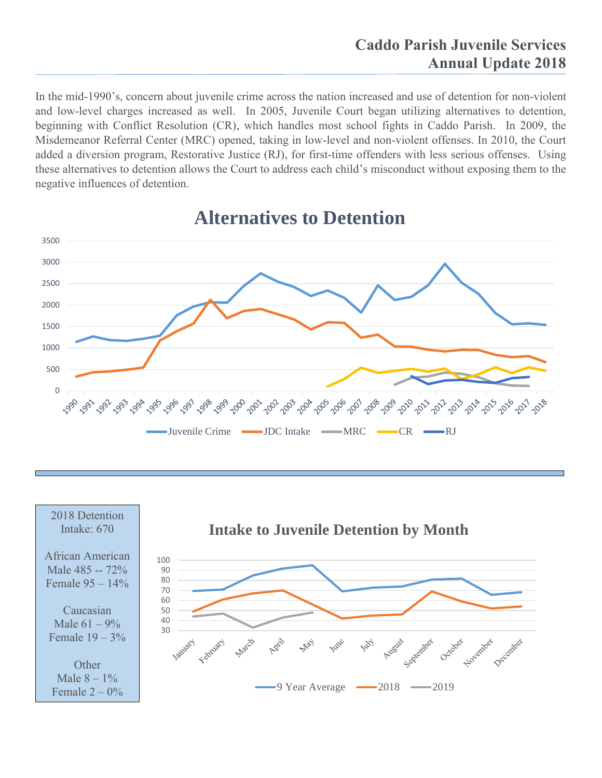In the mid-1990's, concern about juvenile crime across the nation increased and use of detention for non-violent and low-level charges increased as well. In 2005, Juvenile Court began utilizing alternatives to detention, beginning with Conflict Resolution (CR), which handles most school fights in Caddo Parish. In 2009, the Misdemeanor Referral Center (MRC) opened, taking in low-level and non-violent offenses. In 2010, the Court added a diversion program, Restorative Justice (RJ), for first-time offenders with less serious offenses. Using these alternatives to detention allows the Court to address each child's misconduct without exposing them to the negative influences of detention.



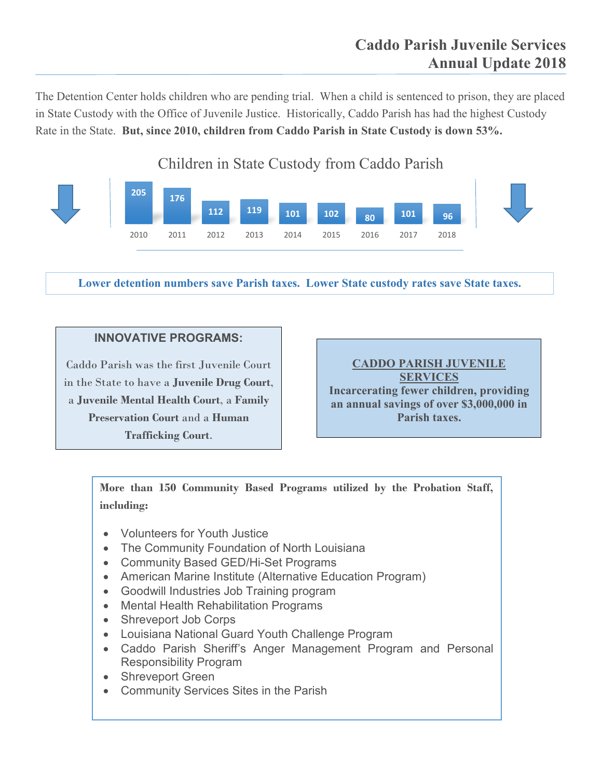The Detention Center holds children who are pending trial. When a child is sentenced to prison, they are placed in State Custody with the Office of Juvenile Justice. Historically, Caddo Parish has had the highest Custody Rate in the State. **But, since 2010, children from Caddo Parish in State Custody is down 53%.**

### Children in State Custody from Caddo Parish



**Lower detention numbers save Parish taxes. Lower State custody rates save State taxes.**

#### **INNOVATIVE PROGRAMS:**

Caddo Parish was the first Juvenile Court in the State to have a **Juvenile Drug Court**, a **Juvenile Mental Health Court**, a **Family Preservation Court** and a **Human Trafficking Court**.

**CADDO PARISH JUVENILE SERVICES Incarcerating fewer children, providing an annual savings of over \$3,000,000 in Parish taxes.**

**More than 150 Community Based Programs utilized by the Probation Staff, including:**

- Volunteers for Youth Justice
- The Community Foundation of North Louisiana
- Community Based GED/Hi-Set Programs
- American Marine Institute (Alternative Education Program)
- Goodwill Industries Job Training program
- Mental Health Rehabilitation Programs
- Shreveport Job Corps
- Louisiana National Guard Youth Challenge Program
- Caddo Parish Sheriff's Anger Management Program and Personal Responsibility Program
- Shreveport Green
- Community Services Sites in the Parish